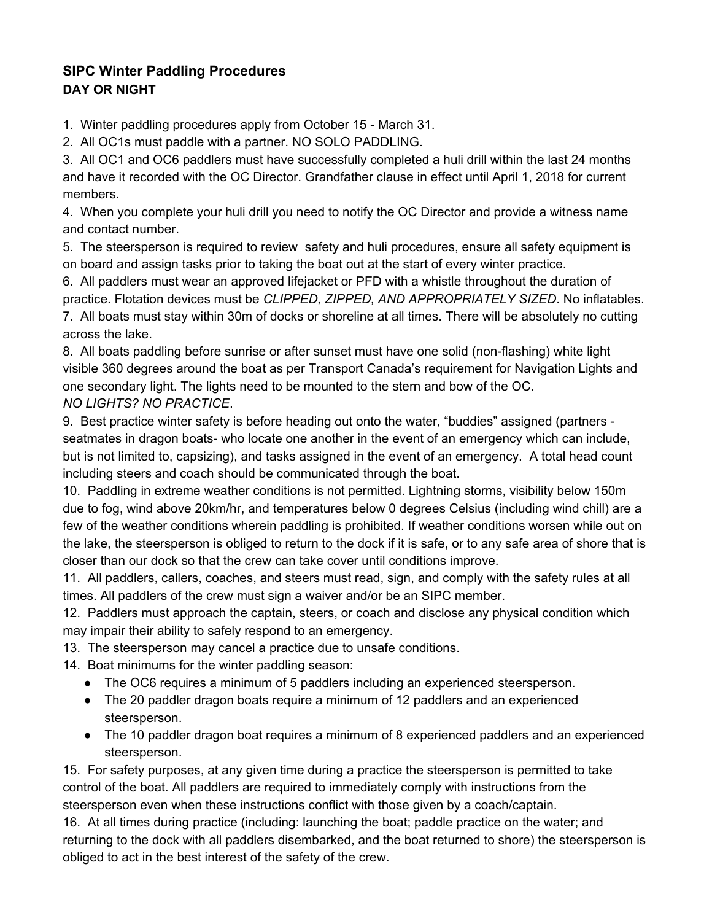## **SIPC Winter Paddling Procedures DAY OR NIGHT**

1. Winter paddling procedures apply from October 15 - March 31.

2. All OC1s must paddle with a partner. NO SOLO PADDLING.

3. All OC1 and OC6 paddlers must have successfully completed a huli drill within the last 24 months and have it recorded with the OC Director. Grandfather clause in effect until April 1, 2018 for current members.

4. When you complete your huli drill you need to notify the OC Director and provide a witness name and contact number.

5. The steersperson is required to review safety and huli procedures, ensure all safety equipment is on board and assign tasks prior to taking the boat out at the start of every winter practice.

6. All paddlers must wear an approved lifejacket or PFD with a whistle throughout the duration of practice. Flotation devices must be *CLIPPED, ZIPPED, AND APPROPRIATELY SIZED*. No inflatables.

7. All boats must stay within 30m of docks or shoreline at all times. There will be absolutely no cutting across the lake.

8. All boats paddling before sunrise or after sunset must have one solid (non-flashing) white light visible 360 degrees around the boat as per Transport Canada's requirement for Navigation Lights and one secondary light. The lights need to be mounted to the stern and bow of the OC. *NO LIGHTS? NO PRACTICE*.

9. Best practice winter safety is before heading out onto the water, "buddies" assigned (partners seatmates in dragon boats- who locate one another in the event of an emergency which can include, but is not limited to, capsizing), and tasks assigned in the event of an emergency. A total head count including steers and coach should be communicated through the boat.

10. Paddling in extreme weather conditions is not permitted. Lightning storms, visibility below 150m due to fog, wind above 20km/hr, and temperatures below 0 degrees Celsius (including wind chill) are a few of the weather conditions wherein paddling is prohibited. If weather conditions worsen while out on the lake, the steersperson is obliged to return to the dock if it is safe, or to any safe area of shore that is closer than our dock so that the crew can take cover until conditions improve.

11. All paddlers, callers, coaches, and steers must read, sign, and comply with the safety rules at all times. All paddlers of the crew must sign a waiver and/or be an SIPC member.

12. Paddlers must approach the captain, steers, or coach and disclose any physical condition which may impair their ability to safely respond to an emergency.

13. The steersperson may cancel a practice due to unsafe conditions.

- 14. Boat minimums for the winter paddling season:
	- The OC6 requires a minimum of 5 paddlers including an experienced steersperson.
	- The 20 paddler dragon boats require a minimum of 12 paddlers and an experienced steersperson.
	- The 10 paddler dragon boat requires a minimum of 8 experienced paddlers and an experienced steersperson.

15. For safety purposes, at any given time during a practice the steersperson is permitted to take control of the boat. All paddlers are required to immediately comply with instructions from the steersperson even when these instructions conflict with those given by a coach/captain.

16. At all times during practice (including: launching the boat; paddle practice on the water; and returning to the dock with all paddlers disembarked, and the boat returned to shore) the steersperson is obliged to act in the best interest of the safety of the crew.